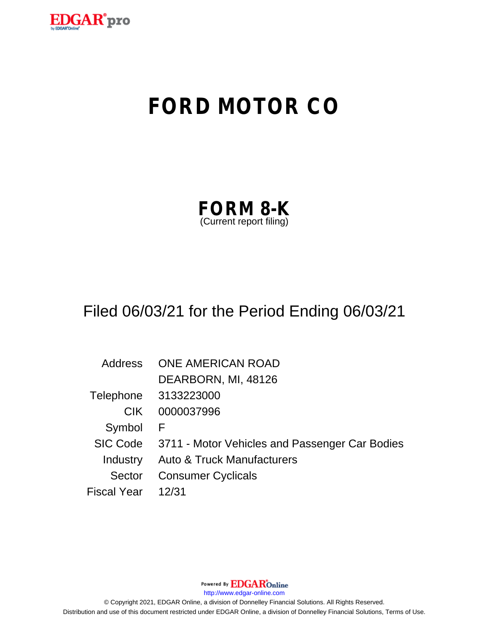

# **FORD MOTOR CO**

| <b>FORM 8-K</b>         |  |
|-------------------------|--|
| (Current report filing) |  |

# Filed 06/03/21 for the Period Ending 06/03/21

Address ONE AMERICAN ROAD DEARBORN, MI, 48126 Telephone 3133223000 CIK 0000037996 Symbol F SIC Code 3711 - Motor Vehicles and Passenger Car Bodies Industry Auto & Truck Manufacturers Sector Consumer Cyclicals Fiscal Year 12/31

Powered By **EDGAR**Online

http://www.edgar-online.com

© Copyright 2021, EDGAR Online, a division of Donnelley Financial Solutions. All Rights Reserved. Distribution and use of this document restricted under EDGAR Online, a division of Donnelley Financial Solutions, Terms of Use.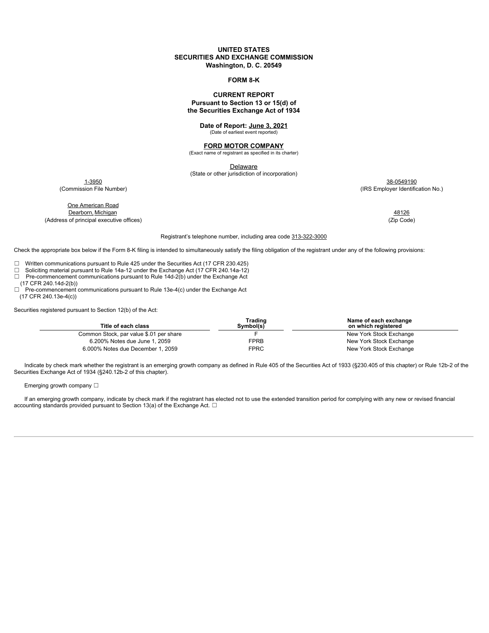#### **UNITED STATES SECURITIES AND EXCHANGE COMMISSION Washington, D. C. 20549**

#### **FORM 8-K**

#### **CURRENT REPORT Pursuant to Section 13 or 15(d) of the Securities Exchange Act of 1934**

#### **Date of Report: June 3, 2021** (Date of earliest event reported)

**FORD MOTOR COMPANY** (Exact name of registrant as specified in its charter)

**Delaware** 

(State or other jurisdiction of incorporation)

1-3950 38-0549190 (Commission File Number) (IRS Employer Identification No.)

One American Road **Dearborn, Michigan 48126** 

(Address of principal executive offices) (Zip Code)

#### Registrant's telephone number, including area code 313-322-3000

Check the appropriate box below if the Form 8-K filing is intended to simultaneously satisfy the filing obligation of the registrant under any of the following provisions:

□ Written communications pursuant to Rule 425 under the Securities Act (17 CFR 230.425)<br>□ Soliciting material pursuant to Rule 14a-12 under the Exchange Act (17 CFR 240.14a-12)

- Soliciting material pursuant to Rule 14a-12 under the Exchange Act (17 CFR 240.14a-12)
- ☐ Pre-commencement communications pursuant to Rule 14d-2(b) under the Exchange Act
- (17 CFR 240.14d-2(b)) ☐ Pre-commencement communications pursuant to Rule 13e-4(c) under the Exchange Act (17 CFR 240.13e-4(c))

Securities registered pursuant to Section 12(b) of the Act:

| Trading<br>Svmbol(s) | Name of each exchange<br>on which reaistered |
|----------------------|----------------------------------------------|
|                      | New York Stock Exchange                      |
| <b>FPRB</b>          | New York Stock Exchange                      |
| <b>FPRC</b>          | New York Stock Exchange                      |
|                      |                                              |

Indicate by check mark whether the registrant is an emerging growth company as defined in Rule 405 of the Securities Act of 1933 (§230.405 of this chapter) or Rule 12b-2 of the Securities Exchange Act of 1934 (§240.12b-2 of this chapter).

#### Emerging growth company □

If an emerging growth company, indicate by check mark if the registrant has elected not to use the extended transition period for complying with any new or revised financial accounting standards provided pursuant to Section 13(a) of the Exchange Act.  $\Box$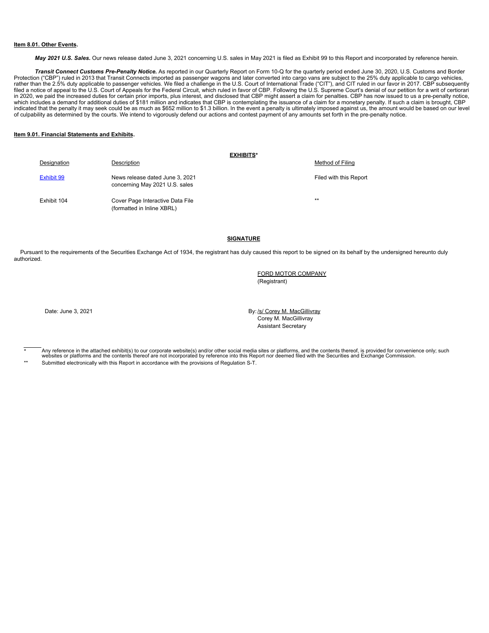#### **Item 8.01. Other Events.**

*May 2021 U.S. Sales.* Our news release dated June 3, 2021 concerning U.S. sales in May 2021 is filed as Exhibit 99 to this Report and incorporated by reference herein.

*Transit Connect Customs Pre-Penalty Notice.* As reported in our Quarterly Report on Form 10-Q for the quarterly period ended June 30, 2020, U.S. Customs and Border Protection ("CBP") ruled in 2013 that Transit Connects imported as passenger wagons and later converted into cargo vans are subject to the 25% duty applicable to cargo vehicles, rather than the 2.5% duty applicable to passenger vehicles. We filed a challenge in the U.S. Court of International Trade ("CIT"), and CIT ruled in our favor in 2017. CBP subsequently filed a notice of appeal to the U.S. Court of Appeals for the Federal Circuit, which ruled in favor of CBP. Following the U.S. Supreme Court's denial of our petition for a writ of certiorari in 2020, we paid the increased duties for certain prior imports, plus interest, and disclosed that CBP might assert a claim for penalties. CBP has now issued to us a pre-penalty notice,<br>which includes a demand for addition

#### **Item 9.01. Financial Statements and Exhibits.**

|             | <b>EXHIBITS*</b>                                                  |                        |
|-------------|-------------------------------------------------------------------|------------------------|
| Designation | Description                                                       | Method of Filing       |
| Exhibit 99  | News release dated June 3, 2021<br>concerning May 2021 U.S. sales | Filed with this Report |
| Exhibit 104 | Cover Page Interactive Data File<br>(formatted in Inline XBRL)    | $***$                  |

#### **SIGNATURE**

Pursuant to the requirements of the Securities Exchange Act of 1934, the registrant has duly caused this report to be signed on its behalf by the undersigned hereunto duly authorized.

> FORD MOTOR COMPANY (Registrant)

Date: June 3, 2021 **By:** /s/ Corey M. MacGillivray Corey M. MacGillivray Assistant Secretary

Any reference in the attached exhibit(s) to our corporate website(s) and/or other social media sites or platforms, and the contents thereof, is provided for convenience only; such websites or platforms and the contents thereof are not incorporated by reference into this Report nor deemed filed with the Securities and Exchange Commission.

Submitted electronically with this Report in accordance with the provisions of Regulation S-T.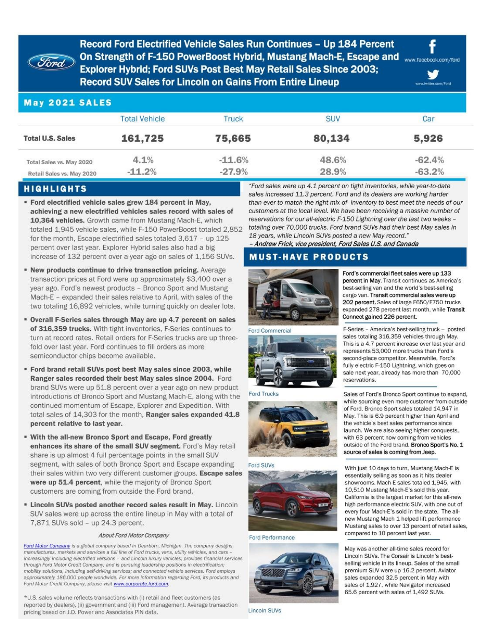Record Ford Electrified Vehicle Sales Run Continues - Up 184 Percent On Strength of F-150 PowerBoost Hybrid, Mustang Mach-E, Escape and www.facebook.com/ford **Explorer Hybrid: Ford SUVs Post Best May Retail Sales Since 2003; Record SUV Sales for Lincoln on Gains From Entire Lineup** 

# **May 2021 SALES**

*<i><u>Ford*</u>

|                           | <b>Total Vehicle</b> | Truck    | <b>SUV</b> | Car      |
|---------------------------|----------------------|----------|------------|----------|
| <b>Total U.S. Sales</b>   | 161,725              | 75,665   | 80,134     | 5,926    |
| Total Sales vs. May 2020  | 4.1%                 | $-11.6%$ | 48.6%      | $-62.4%$ |
| Retail Sales vs. May 2020 | $-11.2%$             | $-27.9%$ | 28.9%      | $-63.2%$ |

## **HIGHLIGHTS**

- \* Ford electrified vehicle sales grew 184 percent in May, achieving a new electrified vehicles sales record with sales of 10,364 vehicles. Growth came from Mustang Mach-E, which totaled 1,945 vehicle sales, while F-150 PowerBoost totaled 2,852 for the month, Escape electrified sales totaled 3,617 - up 125 percent over last year. Explorer Hybrid sales also had a big increase of 132 percent over a year ago on sales of 1,156 SUVs.
- " New products continue to drive transaction pricing. Average transaction prices at Ford were up approximately \$3,400 over a year ago. Ford's newest products - Bronco Sport and Mustang Mach-E - expanded their sales relative to April, with sales of the two totaling 16,892 vehicles, while turning quickly on dealer lots.
- \* Overall F-Series sales through May are up 4.7 percent on sales of 316,359 trucks. With tight inventories, F-Series continues to turn at record rates. Retail orders for F-Series trucks are up threefold over last year. Ford continues to fill orders as more semiconductor chips become available.
- \* Ford brand retail SUVs post best May sales since 2003, while Ranger sales recorded their best May sales since 2004. Ford brand SUVs were up 51.8 percent over a year ago on new product introductions of Bronco Sport and Mustang Mach-E, along with the continued momentum of Escape, Explorer and Expedition. With total sales of 14,303 for the month, Ranger sales expanded 41.8 percent relative to last year.
- . With the all-new Bronco Sport and Escape, Ford greatly enhances its share of the small SUV segment. Ford's May retail share is up almost 4 full percentage points in the small SUV segment, with sales of both Bronco Sport and Escape expanding their sales within two very different customer groups. Escape sales were up 51.4 percent, while the majority of Bronco Sport customers are coming from outside the Ford brand.
- **Elincoln SUVs posted another record sales result in May.** Lincoln SUV sales were up across the entire lineup in May with a total of 7,871 SUVs sold - up 24.3 percent.

#### About Ford Motor Company

Ford Motor Company is a global company based in Dearborn, Michigan. The company designs, manufactures, markets and services a full line of Ford trucks, vans, utility vehicles, and cars increasingly including electrified versions - and Lincoln luxury vehicles; provides financial services through Ford Motor Credit Company; and is pursuing leadership positions in electrification; mobility solutions, including self-driving services; and connected vehicle services. Ford employs approximately 186,000 people worldwide. For more information regarding Ford, its products and Ford Motor Credit Company, please visit www.corporate.ford.com.

\*U.S. sales volume reflects transactions with (i) retail and fleet customers (as reported by dealers), (ii) government and (iii) Ford management. Average transaction pricing based on J.D. Power and Associates PIN data.

"Ford sales were up 4.1 percent on tight inventories, while year-to-date sales increased 11.3 percent. Ford and its dealers are working harder than ever to match the right mix of inventory to best meet the needs of our customers at the local level. We have been receiving a massive number of reservations for our all-electric F-150 Lightning over the last two weeks totaling over 70,000 trucks. Ford brand SUVs had their best May sales in 18 years, while Lincoln SUVs posted a new May record."

- Andrew Frick, vice president, Ford Sales U.S. and Canada

## **MUST-HAVE PRODUCTS**



Ford Commercial



**Ford Trucks** 





Ford Performance



**Lincoln SUVs** 

Ford's commercial fleet sales were up 133 percent in May. Transit continues as America's best-selling van and the world's best-selling cargo van. Transit commercial sales were up 202 percent. Sales of large F650/F750 trucks expanded 278 percent last month, while Transit Connect gained 226 percent.

v

itter.com/Ford

F-Series - America's best-selling truck - posted sales totaling 316,359 vehicles through May. This is a 4.7 percent increase over last year and represents 53,000 more trucks than Ford's second-place competitor. Meanwhile, Ford's fully electric F-150 Lightning, which goes on sale next year, already has more than 70,000 reservations.

Sales of Ford's Bronco Sport continue to expand, while sourcing even more customer from outside of Ford. Bronco Sport sales totaled 14,947 in May. This is 6.9 percent higher than April and the vehicle's best sales performance since launch. We are also seeing higher conquests, with 63 percent now coming from vehicles outside of the Ford brand. Bronco Sport's No. 1 source of sales is coming from Jeep.

With just 10 days to turn, Mustang Mach-E is essentially selling as soon as it hits dealer showrooms. Mach-E sales totaled 1.945, with 10,510 Mustang Mach-E's sold this year. California is the largest market for this all-new high performance electric SUV, with one out of every four Mach-E's sold in the state. The allnew Mustang Mach 1 helped lift performance Mustang sales to over 13 percent of retail sales. compared to 10 percent last year.

May was another all-time sales record for Lincoln SUVs. The Corsair is Lincoln's bestselling vehicle in its lineup. Sales of the small premium SUV were up 16.2 percent. Aviator sales expanded 32.5 percent in May with sales of 1,927, while Navigator increased 65.6 percent with sales of 1,492 SUVs.